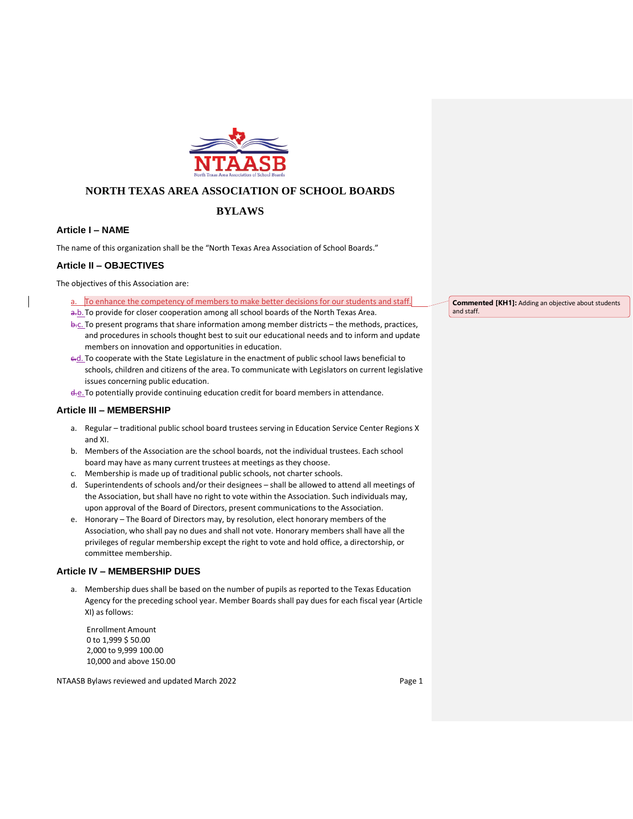

# **NORTH TEXAS AREA ASSOCIATION OF SCHOOL BOARDS**

# **BYLAWS**

## **Article I – NAME**

The name of this organization shall be the "North Texas Area Association of School Boards."

## **Article II – OBJECTIVES**

The objectives of this Association are:

- a. To enhance the competency of members to make better decisions for our students and staff.
- a.b. To provide for closer cooperation among all school boards of the North Texas Area.
- b.c. To present programs that share information among member districts the methods, practices, and procedures in schools thought best to suit our educational needs and to inform and update members on innovation and opportunities in education.
- e.d. To cooperate with the State Legislature in the enactment of public school laws beneficial to schools, children and citizens of the area. To communicate with Legislators on current legislative issues concerning public education.
- d.e. To potentially provide continuing education credit for board members in attendance.

## **Article III – MEMBERSHIP**

- a. Regular traditional public school board trustees serving in Education Service Center Regions X and XI.
- b. Members of the Association are the school boards, not the individual trustees. Each school board may have as many current trustees at meetings as they choose.
- c. Membership is made up of traditional public schools, not charter schools.
- d. Superintendents of schools and/or their designees shall be allowed to attend all meetings of the Association, but shall have no right to vote within the Association. Such individuals may, upon approval of the Board of Directors, present communications to the Association.
- e. Honorary The Board of Directors may, by resolution, elect honorary members of the Association, who shall pay no dues and shall not vote. Honorary members shall have all the privileges of regular membership except the right to vote and hold office, a directorship, or committee membership.

## **Article IV – MEMBERSHIP DUES**

a. Membership dues shall be based on the number of pupils as reported to the Texas Education Agency for the preceding school year. Member Boards shall pay dues for each fiscal year (Article XI) as follows:

Enrollment Amount 0 to 1,999 \$ 50.00 2,000 to 9,999 100.00 10,000 and above 150.00

NTAASB Bylaws reviewed and updated March 2022 **Page 1 Page 1** 

**Commented [KH1]:** Adding an objective about students and staff.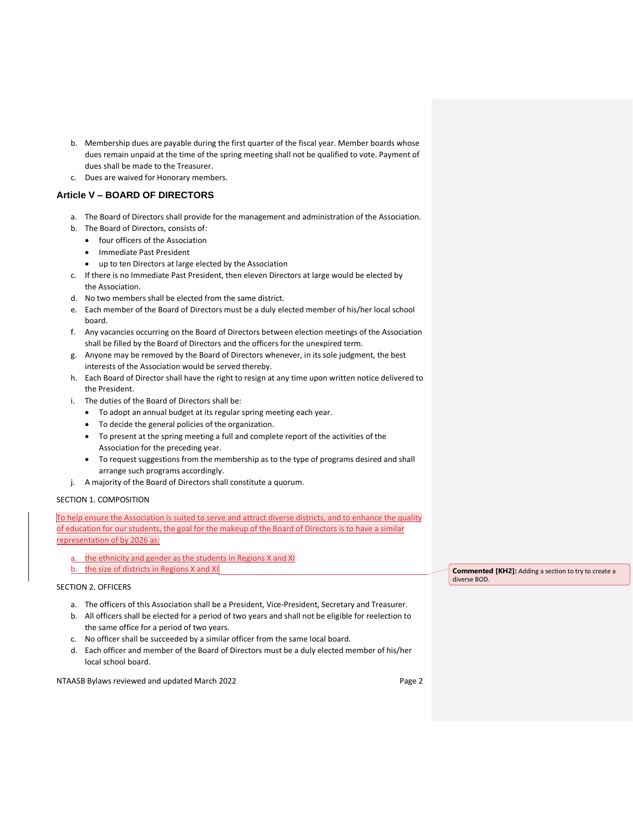- b. Membership dues are payable during the first quarter of the fiscal year. Member boards whose dues remain unpaid at the time of the spring meeting shall not be qualified to vote. Payment of dues shall be made to the Treasurer.
- c. Dues are waived for Honorary members.

## **Article V – BOARD OF DIRECTORS**

- a. The Board of Directors shall provide for the management and administration of the Association.
- b. The Board of Directors, consists of:
	- four officers of the Association
	- Immediate Past President
	- up to ten Directors at large elected by the Association
- c. If there is no Immediate Past President, then eleven Directors at large would be elected by the Association.
- d. No two members shall be elected from the same district.
- e. Each member of the Board of Directors must be a duly elected member of his/her local school board.
- f. Any vacancies occurring on the Board of Directors between election meetings of the Association shall be filled by the Board of Directors and the officers for the unexpired term.
- g. Anyone may be removed by the Board of Directors whenever, in its sole judgment, the best interests of the Association would be served thereby.
- h. Each Board of Director shall have the right to resign at any time upon written notice delivered to the President.
- i. The duties of the Board of Directors shall be:
	- To adopt an annual budget at its regular spring meeting each year.
	- To decide the general policies of the organization.
	- To present at the spring meeting a full and complete report of the activities of the Association for the preceding year.
	- To request suggestions from the membership as to the type of programs desired and shall arrange such programs accordingly.
- j. A majority of the Board of Directors shall constitute a quorum.

## SECTION 1. COMPOSITION

To help ensure the Association is suited to serve and attract diverse districts, and to enhance the quality of education for our students, the goal for the makeup of the Board of Directors is to have a similar representation of by 2026 as:

- a. the ethnicity and gender as the students in Regions X and XI
- b. the size of districts in Regions X and XI

## SECTION 2. OFFICERS

- a. The officers of this Association shall be a President, Vice-President, Secretary and Treasurer.
- b. All officers shall be elected for a period of two years and shall not be eligible for reelection to the same office for a period of two years.
- c. No officer shall be succeeded by a similar officer from the same local board.
- d. Each officer and member of the Board of Directors must be a duly elected member of his/her local school board.

NTAASB Bylaws reviewed and updated March 2022 **Page 2 Page 2** 

**Commented [KH2]:** Adding a section to try to create a diverse BOD.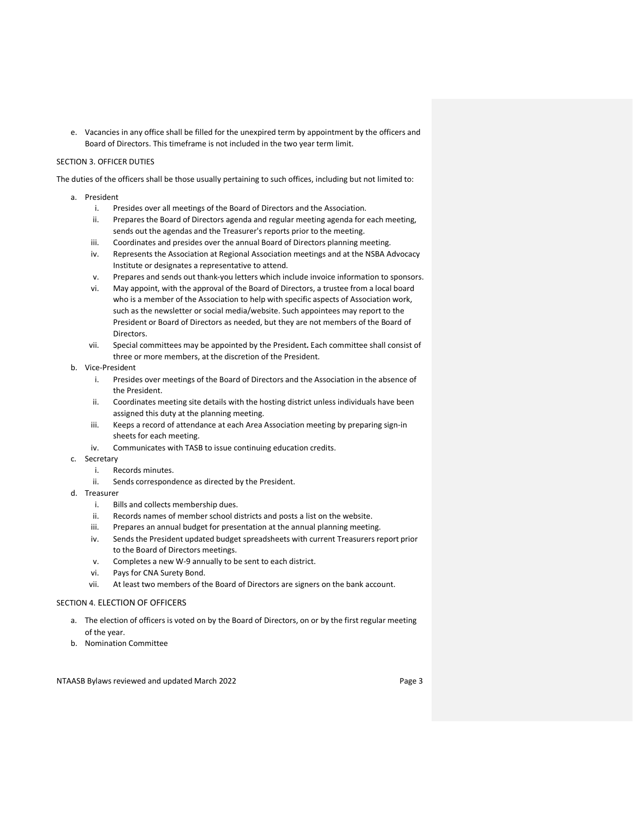e. Vacancies in any office shall be filled for the unexpired term by appointment by the officers and Board of Directors. This timeframe is not included in the two year term limit.

## SECTION 3. OFFICER DUTIES

The duties of the officers shall be those usually pertaining to such offices, including but not limited to:

- a. President
	- i. Presides over all meetings of the Board of Directors and the Association.
	- ii. Prepares the Board of Directors agenda and regular meeting agenda for each meeting, sends out the agendas and the Treasurer's reports prior to the meeting.
	- iii. Coordinates and presides over the annual Board of Directors planning meeting.
	- iv. Represents the Association at Regional Association meetings and at the NSBA Advocacy Institute or designates a representative to attend.
	- v. Prepares and sends out thank-you letters which include invoice information to sponsors.
	- vi. May appoint, with the approval of the Board of Directors, a trustee from a local board who is a member of the Association to help with specific aspects of Association work, such as the newsletter or social media/website. Such appointees may report to the President or Board of Directors as needed, but they are not members of the Board of Directors.
	- vii. Special committees may be appointed by the President**.** Each committee shall consist of three or more members, at the discretion of the President.
- b. Vice-President
	- i. Presides over meetings of the Board of Directors and the Association in the absence of the President.
	- ii. Coordinates meeting site details with the hosting district unless individuals have been assigned this duty at the planning meeting.
	- iii. Keeps a record of attendance at each Area Association meeting by preparing sign-in sheets for each meeting.
	- iv. Communicates with TASB to issue continuing education credits.
- c. Secretary
	- i Records minutes
	- ii. Sends correspondence as directed by the President.
- d. Treasurer
	- i. Bills and collects membership dues.
	- ii. Records names of member school districts and posts a list on the website.
	- iii. Prepares an annual budget for presentation at the annual planning meeting.
	- iv. Sends the President updated budget spreadsheets with current Treasurers report prior to the Board of Directors meetings.
	- v. Completes a new W-9 annually to be sent to each district.
	- vi. Pays for CNA Surety Bond.
	- vii. At least two members of the Board of Directors are signers on the bank account.

#### SECTION 4. ELECTION OF OFFICERS

- a. The election of officers is voted on by the Board of Directors, on or by the first regular meeting of the year.
- b. Nomination Committee

NTAASB Bylaws reviewed and updated March 2022 **Page 3** Page 3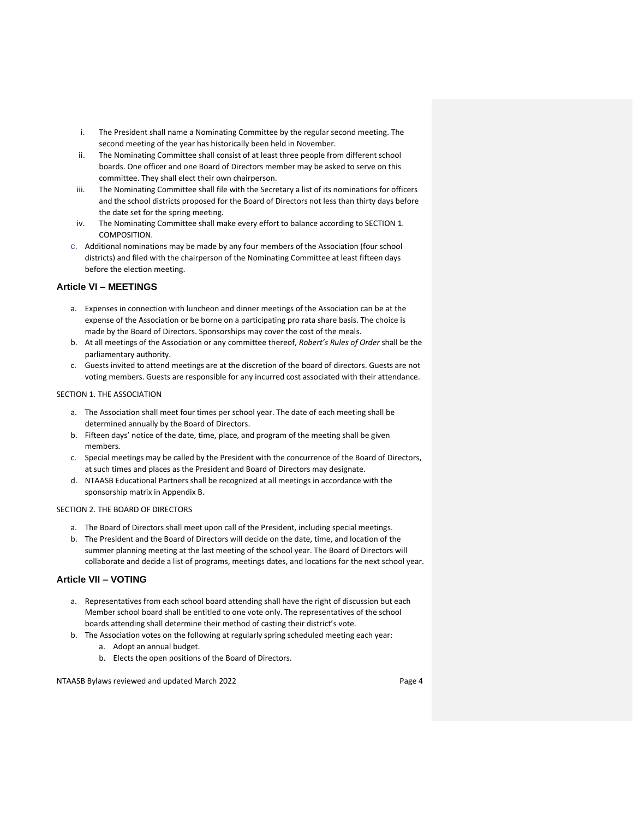- i. The President shall name a Nominating Committee by the regular second meeting. The second meeting of the year has historically been held in November.
- ii. The Nominating Committee shall consist of at least three people from different school boards. One officer and one Board of Directors member may be asked to serve on this committee. They shall elect their own chairperson.
- iii. The Nominating Committee shall file with the Secretary a list of its nominations for officers and the school districts proposed for the Board of Directors not less than thirty days before the date set for the spring meeting.
- iv. The Nominating Committee shall make every effort to balance according to SECTION 1. COMPOSITION.
- c. Additional nominations may be made by any four members of the Association (four school districts) and filed with the chairperson of the Nominating Committee at least fifteen days before the election meeting.

## **Article VI – MEETINGS**

- a. Expenses in connection with luncheon and dinner meetings of the Association can be at the expense of the Association or be borne on a participating pro rata share basis. The choice is made by the Board of Directors. Sponsorships may cover the cost of the meals.
- b. At all meetings of the Association or any committee thereof, *Robert's Rules of Order* shall be the parliamentary authority.
- c. Guests invited to attend meetings are at the discretion of the board of directors. Guests are not voting members. Guests are responsible for any incurred cost associated with their attendance.

#### SECTION 1. THE ASSOCIATION

- a. The Association shall meet four times per school year. The date of each meeting shall be determined annually by the Board of Directors.
- b. Fifteen days' notice of the date, time, place, and program of the meeting shall be given members.
- c. Special meetings may be called by the President with the concurrence of the Board of Directors, at such times and places as the President and Board of Directors may designate.
- d. NTAASB Educational Partners shall be recognized at all meetings in accordance with the sponsorship matrix in Appendix B.

## SECTION 2. THE BOARD OF DIRECTORS

- a. The Board of Directors shall meet upon call of the President, including special meetings.
- b. The President and the Board of Directors will decide on the date, time, and location of the summer planning meeting at the last meeting of the school year. The Board of Directors will collaborate and decide a list of programs, meetings dates, and locations for the next school year.

## **Article VII – VOTING**

- a. Representatives from each school board attending shall have the right of discussion but each Member school board shall be entitled to one vote only. The representatives of the school boards attending shall determine their method of casting their district's vote.
- b. The Association votes on the following at regularly spring scheduled meeting each year:
	- a. Adopt an annual budget.
	- b. Elects the open positions of the Board of Directors.

NTAASB Bylaws reviewed and updated March 2022 **Page 4** Page 4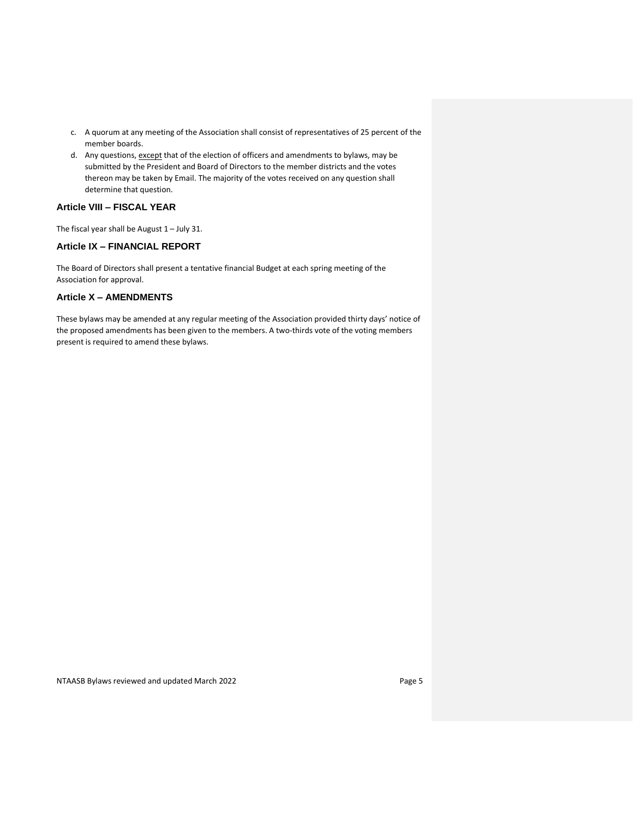- c. A quorum at any meeting of the Association shall consist of representatives of 25 percent of the member boards.
- d. Any questions, except that of the election of officers and amendments to bylaws, may be submitted by the President and Board of Directors to the member districts and the votes thereon may be taken by Email. The majority of the votes received on any question shall determine that question.

# **Article VIII – FISCAL YEAR**

The fiscal year shall be August  $1 -$  July 31.

## **Article IX – FINANCIAL REPORT**

The Board of Directors shall present a tentative financial Budget at each spring meeting of the Association for approval.

## **Article X – AMENDMENTS**

These bylaws may be amended at any regular meeting of the Association provided thirty days' notice of the proposed amendments has been given to the members. A two-thirds vote of the voting members present is required to amend these bylaws.

NTAASB Bylaws reviewed and updated March 2022 **Page 5** Page 5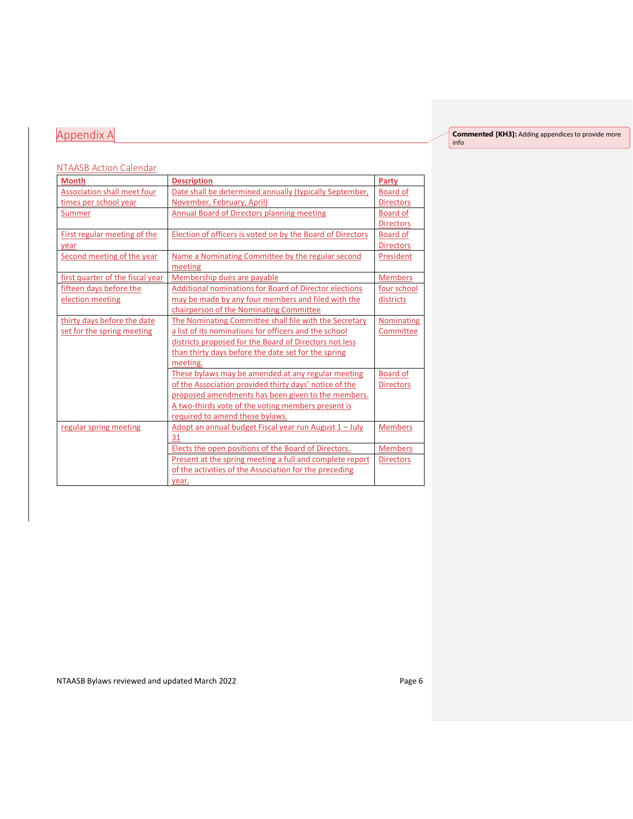# Appendix A

**Commented [KH3]:** Adding appendices to provide more

info

## NTAASB Action Calendar

| <b>Month</b>                       | <b>Description</b>                                            | Party            |
|------------------------------------|---------------------------------------------------------------|------------------|
| <b>Association shall meet four</b> | Date shall be determined annually (typically September,       | <b>Board of</b>  |
| times per school year              | November, February, April)                                    | <b>Directors</b> |
| Summer                             | <b>Annual Board of Directors planning meeting</b>             | <b>Board of</b>  |
|                                    |                                                               | <b>Directors</b> |
| First regular meeting of the       | Election of officers is voted on by the Board of Directors    | <b>Board of</b>  |
| vear                               |                                                               | <b>Directors</b> |
| Second meeting of the year         | Name a Nominating Committee by the regular second             | President        |
|                                    | meeting                                                       |                  |
| first quarter of the fiscal year   | Membership dues are payable                                   | <b>Members</b>   |
| fifteen days before the            | <b>Additional nominations for Board of Director elections</b> | four school      |
| election meeting                   | may be made by any four members and filed with the            | districts        |
|                                    | chairperson of the Nominating Committee                       |                  |
| thirty days before the date        | The Nominating Committee shall file with the Secretary        | Nominating       |
| set for the spring meeting         | a list of its nominations for officers and the school         | Committee        |
|                                    | districts proposed for the Board of Directors not less        |                  |
|                                    | than thirty days before the date set for the spring           |                  |
|                                    | meeting.                                                      |                  |
|                                    | These bylaws may be amended at any regular meeting            | <b>Board of</b>  |
|                                    | of the Association provided thirty days' notice of the        | <b>Directors</b> |
|                                    | proposed amendments has been given to the members.            |                  |
|                                    | A two-thirds vote of the voting members present is            |                  |
|                                    | required to amend these bylaws.                               |                  |
| regular spring meeting             | Adopt an annual budget Fiscal year run August 1 - July        | <b>Members</b>   |
|                                    | 31                                                            |                  |
|                                    | Elects the open positions of the Board of Directors.          | <b>Members</b>   |
|                                    | Present at the spring meeting a full and complete report      | <b>Directors</b> |
|                                    | of the activities of the Association for the preceding        |                  |
|                                    | year.                                                         |                  |

NTAASB Bylaws reviewed and updated March 2022 **Page 6**